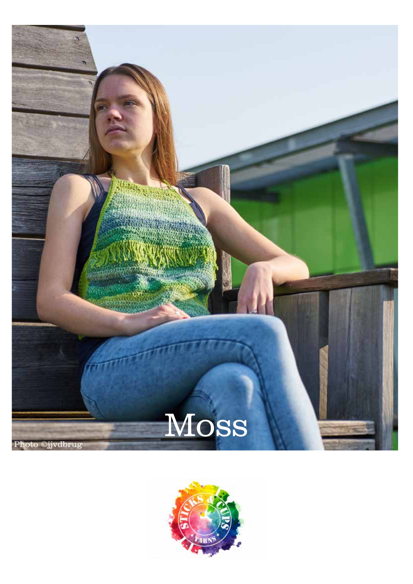

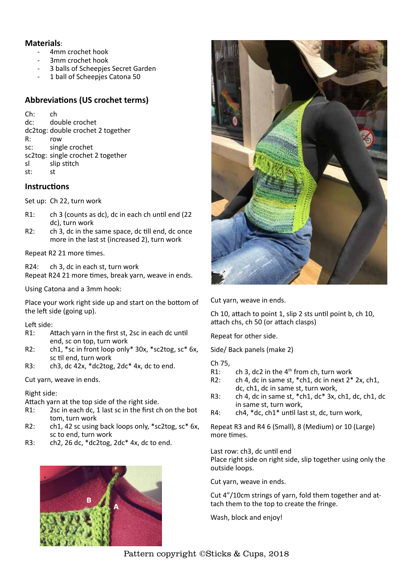## **Materials**:

- 4mm crochet hook
- 3mm crochet hook
- 3 balls of Scheepjes Secret Garden
- 1 ball of Scheepjes Catona 50

# **Abbreviations (US crochet terms)**

Ch: ch dc: double crochet dc2tog: double crochet 2 together R: row sc: single crochet sc2tog: single crochet 2 together sl slip stitch st: st

## **Instructions**

Set up: Ch 22, turn work

- R1: ch 3 (counts as dc), dc in each ch until end (22 dc), turn work
- R2: ch 3, dc in the same space, dc till end, dc once more in the last st (increased 2), turn work

Repeat R2 21 more times.

R24: ch 3, dc in each st, turn work Repeat R24 21 more times, break yarn, weave in ends.

Using Catona and a 3mm hook:

Place your work right side up and start on the bottom of the left side (going up).

#### Left side:

- R1: Attach yarn in the first st, 2sc in each dc until end, sc on top, turn work
- R2: ch1, \*sc in front loop only\* 30x, \*sc2tog, sc\* 6x, sc til end, turn work
- R3: ch3, dc 42x,  $*$ dc2tog, 2dc $*$  4x, dc to end.

Cut yarn, weave in ends.

#### Right side:

Attach yarn at the top side of the right side.

- R1: 2sc in each dc, 1 last sc in the first ch on the bot tom, turn work
- R2: ch1, 42 sc using back loops only, \*sc2tog, sc\* 6x, sc to end, turn work
- R3: ch2, 26 dc,  $*$ dc2tog, 2dc $*$  4x, dc to end.





Cut yarn, weave in ends.

Ch 10, attach to point 1, slip 2 sts until point b, ch 10, attach chs, ch 50 (or attach clasps)

Repeat for other side.

Side/ Back panels (make 2)

- Ch 75,
- R1: ch 3, dc2 in the  $4<sup>th</sup>$  from ch, turn work
- R2: ch 4, dc in same st,  $*$ ch1, dc in next  $2*$  2x, ch1, dc, ch1, dc in same st, turn work,
- R3: ch 4, dc in same st,  $*$ ch1, dc $*$  3x, ch1, dc, ch1, dc in same st, turn work,
- R4: ch4, \*dc, ch1\* until last st, dc, turn work,

Repeat R3 and R4 6 (Small), 8 (Medium) or 10 (Large) more times.

Last row: ch3, dc until end Place right side on right side, slip together using only the outside loops.

Cut yarn, weave in ends.

Cut 4"/10cm strings of yarn, fold them together and attach them to the top to create the fringe.

Wash, block and enjoy!